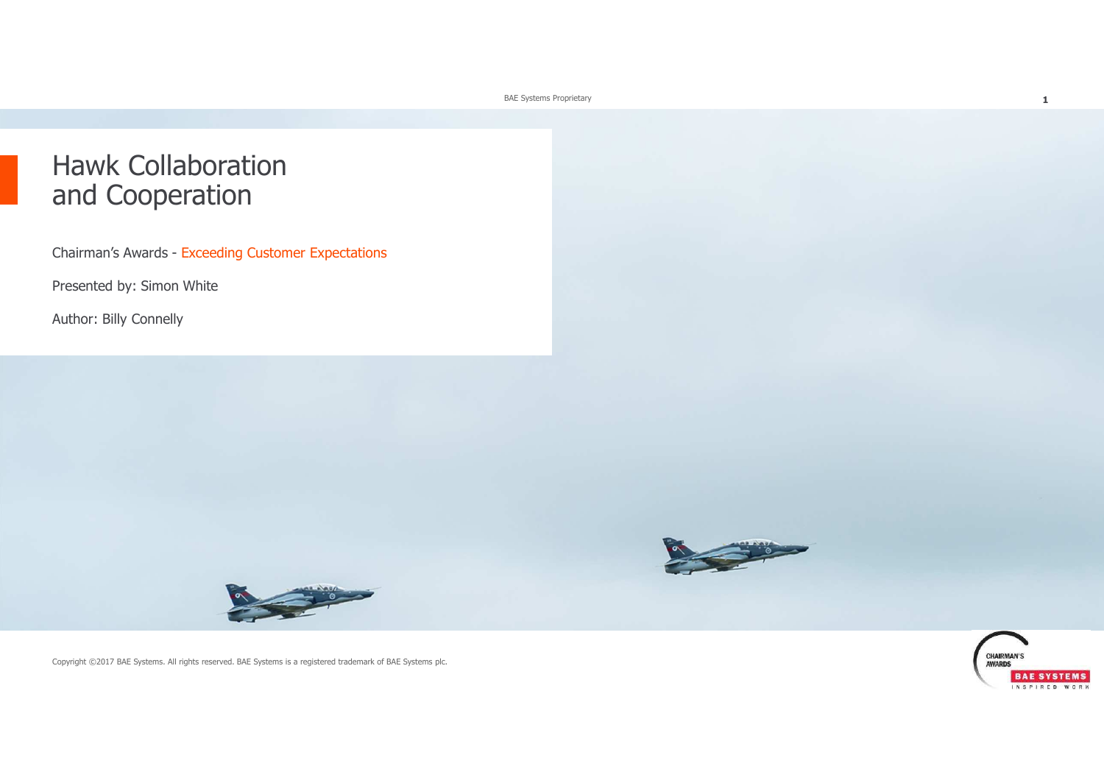BAE Systems Proprietary

## Hawk Collaboration and Cooperation

Chairman's Awards - Exceeding Customer Expectations

Presented by: Simon White

Author: Billy Connelly





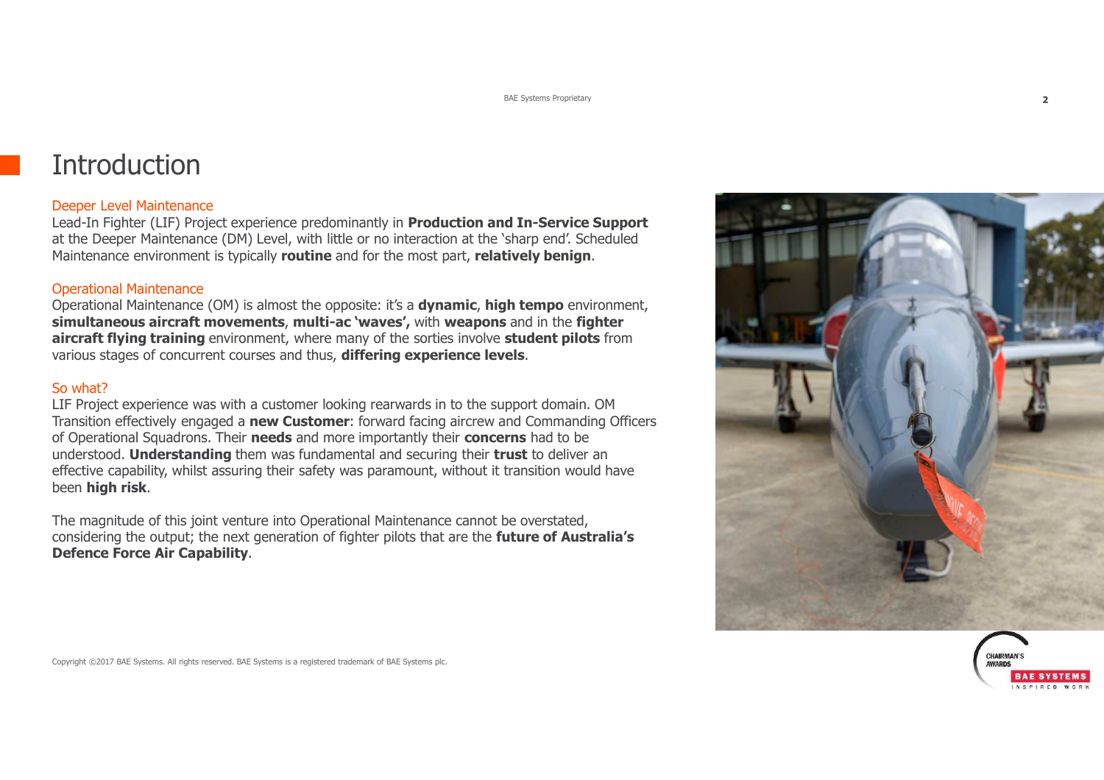## **Introduction**

#### Deeper Level Maintenance

 Lead-In Fighter (LIF) Project experience predominantly in **Production and In-Service Support** at the Deeper Maintenance (DM) Level, with little or no interaction at the 'sharp end'. Scheduled Maintenance environment is typically **routine** and for the most part, **relatively benign**.

#### Operational Maintenance

 Operational Maintenance (OM) is almost the opposite: it's a **dynamic**, **high tempo** environment, **simultaneous aircraft movements**, **multi-ac 'waves',** with **weapons** and in the **fighter aircraft flying training** environment, where many of the sorties involve **student pilots** from various stages of concurrent courses and thus, **differing experience levels**.

#### So what?

 LIF Project experience was with a customer looking rearwards in to the support domain. OM Transition effectively engaged a **new Customer**: forward facing aircrew and Commanding Officers of Operational Squadrons. Their **needs** and more importantly their **concerns** had to be understood. **Understanding** them was fundamental and securing their **trust** to deliver an effective capability, whilst assuring their safety was paramount, without it transition would have been **high risk**.

The magnitude of this joint venture into Operational Maintenance cannot be overstated, considering the output; the next generation of fighter pilots that are the **future of Australia's Defence Force Air Capability**.



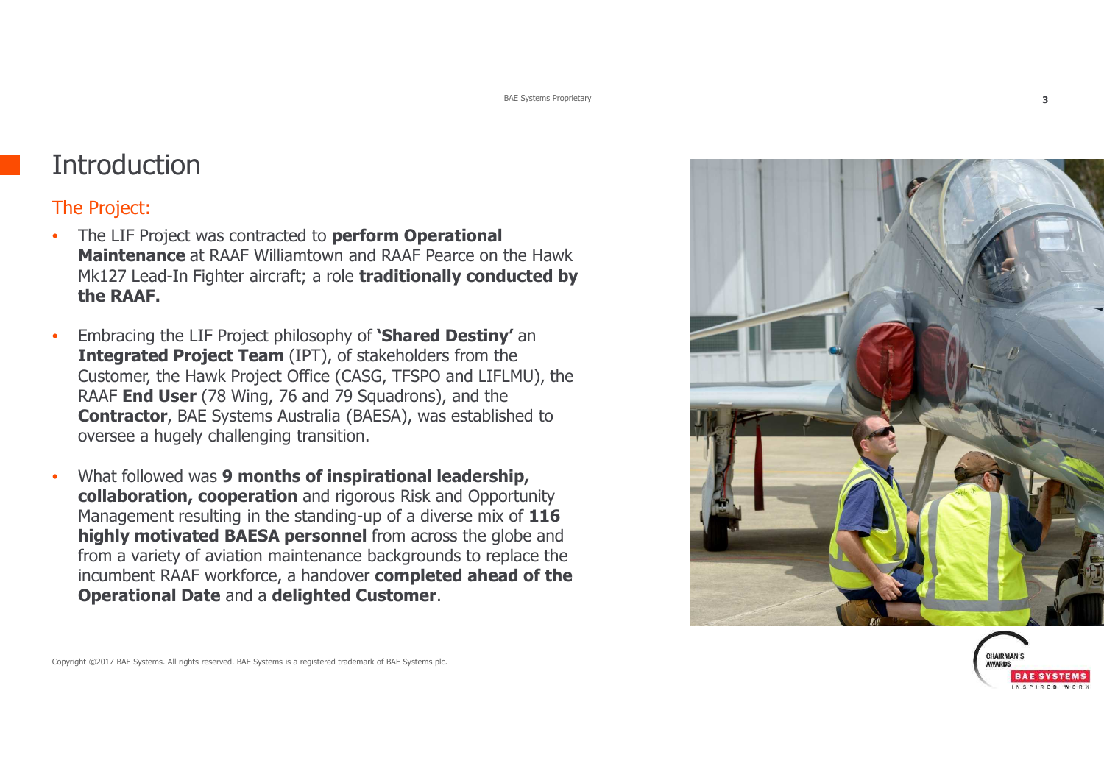## **Introduction**

### The Project:

- • The LIF Project was contracted to **perform Operational Maintenance** at RAAF Williamtown and RAAF Pearce on the Hawk Mk127 Lead-In Fighter aircraft; a role **traditionally conducted by the RAAF.**
- • Embracing the LIF Project philosophy of **'Shared Destiny'** an **Integrated Project Team** (IPT), of stakeholders from the Customer, the Hawk Project Office (CASG, TFSPO and LIFLMU), the RAAF **End User** (78 Wing, 76 and 79 Squadrons), and the **Contractor**, BAE Systems Australia (BAESA), was established tooversee a hugely challenging transition.
- • What followed was **9 months of inspirational leadership, collaboration, cooperation** and rigorous Risk and Opportunity Management resulting in the standing-up of a diverse mix of **116 highly motivated BAESA personnel** from across the globe and from a variety of aviation maintenance backgrounds to replace the incumbent RAAF workforce, a handover **completed ahead of the Operational Date** and a **delighted Customer**.



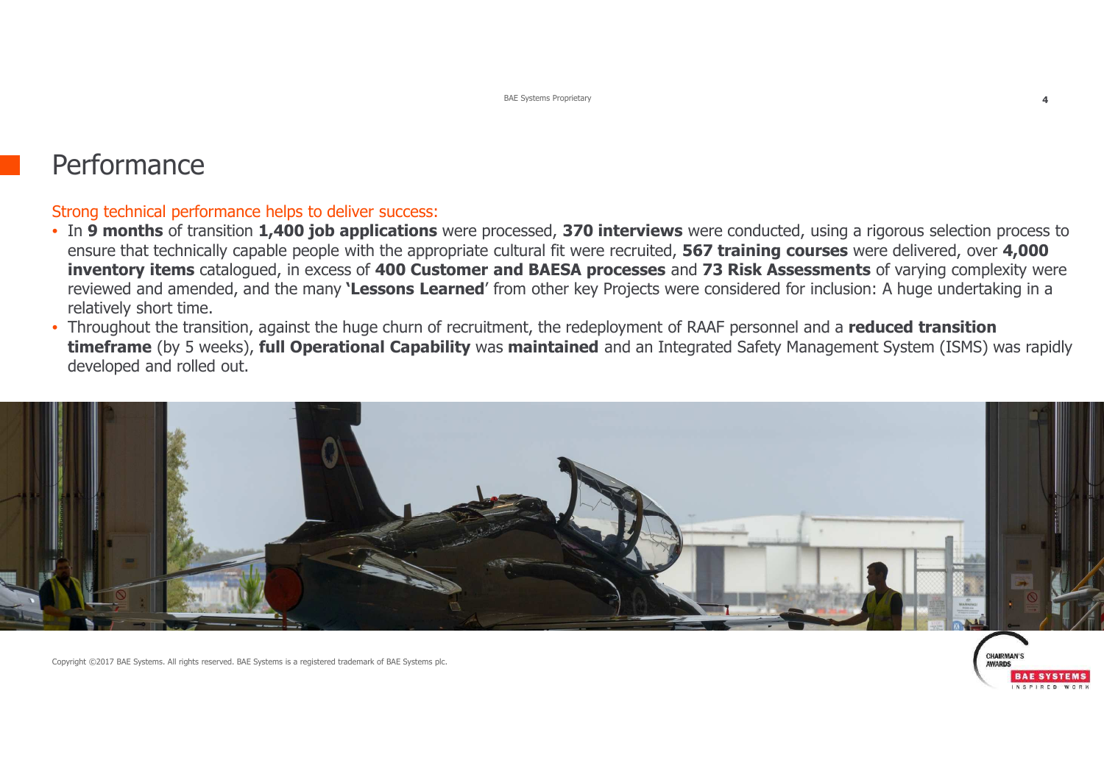### **Performance**

#### Strong technical performance helps to deliver success:

- In **9 months** of transition **1,400 job applications** were processed, **370 interviews** were conducted, using a rigorous selection process to ensure that technically capable people with the appropriate cultural fit were recruited, **567 training courses** were delivered, over **4,000 inventory items** catalogued, in excess of **400 Customer and BAESA processes** and **73 Risk Assessments** of varying complexity were reviewed and amended, and the many **'Lessons Learned**' from other key Projects were considered for inclusion: A huge undertaking in a relatively short time.
- Throughout the transition, against the huge churn of recruitment, the redeployment of RAAF personnel and a **reduced transition timeframe** (by 5 weeks), **full Operational Capability** was **maintained** and an Integrated Safety Management System (ISMS) was rapidly developed and rolled out.



Copyright ©2017 BAE Systems. All rights reserved. BAE Systems is a registered trademark of BAE Systems plc.

**RAE SYSTEMS**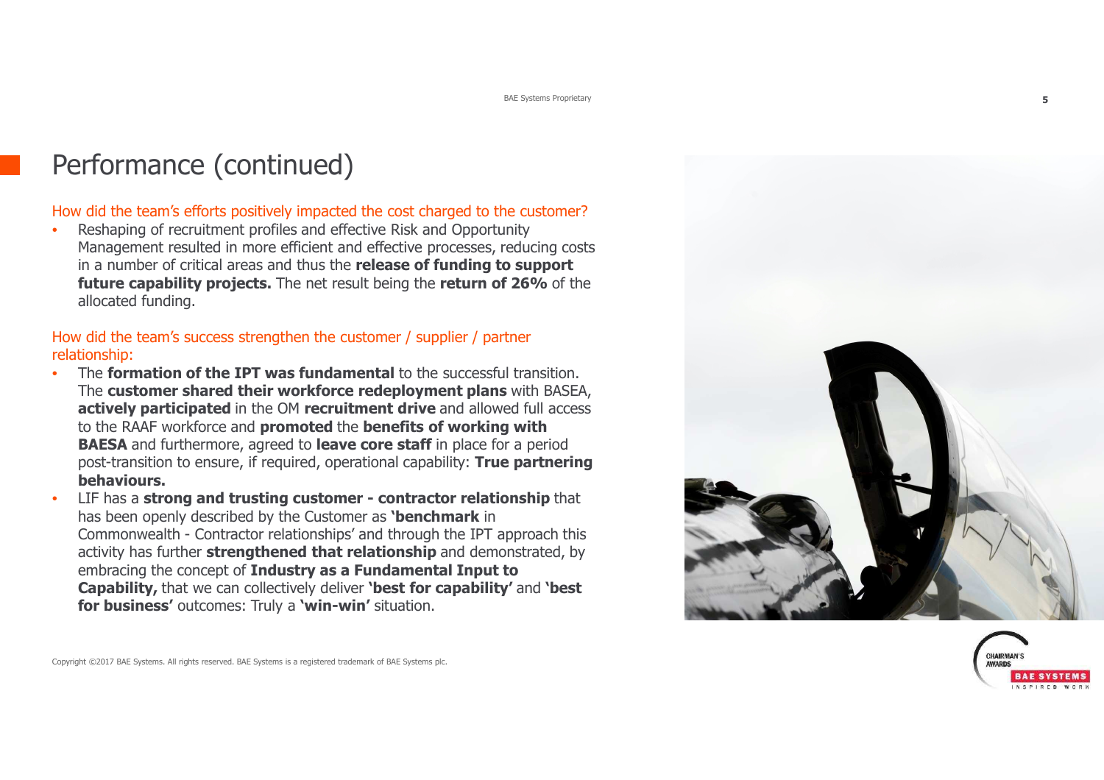# Performance (continued)

#### How did the team's efforts positively impacted the cost charged to the customer?

• Reshaping of recruitment profiles and effective Risk and Opportunity Management resulted in more efficient and effective processes, reducing costs in a number of critical areas and thus the **release of funding to support future capability projects.** The net result being the **return of 26%** of the allocated funding.

#### How did the team's success strengthen the customer / supplier / partner relationship:

- The **formation of the IPT was fundamental** to the successful transition. •The **customer shared their workforce redeployment plans** with BASEA, **actively participated** in the OM **recruitment drive** and allowed full access to the RAAF workforce and **promoted** the **benefits of working with BAESA** and furthermore, agreed to **leave core staff** in place for a period post-transition to ensure, if required, operational capability: **True partnering behaviours.**
- LIF has a **strong and trusting customer - contractor relationship** that •has been openly described by the Customer as **'benchmark** in Commonwealth - Contractor relationships' and through the IPT approach this<br>activity has further **strengthened that relationshin** and demonstrated, by activity has further **strengthened that relationship** and demonstrated, by embracing the concept of **Industry as a Fundamental Input to Capability,** that we can collectively deliver **'best for capability'** and **'best for business'** outcomes: Truly a **'win-win'** situation.



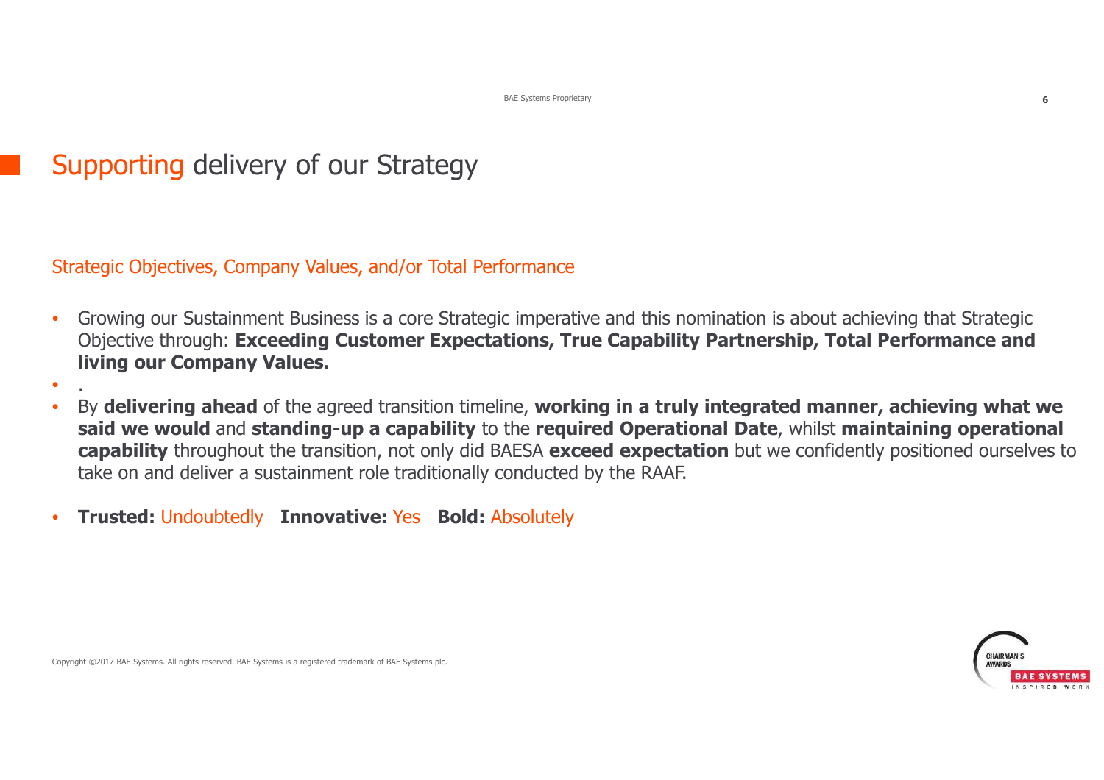# Supporting delivery of our Strategy

Strategic Objectives, Company Values, and/or Total Performance

- • Growing our Sustainment Business is a core Strategic imperative and this nomination is about achieving that Strategic Objective through: **Exceeding Customer Expectations, True Capability Partnership, Total Performance and living our Company Values.**
- •
- • By **delivering ahead** of the agreed transition timeline, **working in a truly integrated manner, achieving what we said we would** and **standing-up a capability** to the **required Operational Date**, whilst **maintaining operational capability** throughout the transition, not only did BAESA **exceed expectation** but we confidently positioned ourselves to take on and deliver a sustainment role traditionally conducted by the RAAF.
- •**Trusted:** Undoubtedly **Innovative:** Yes **Bold:** Absolutely

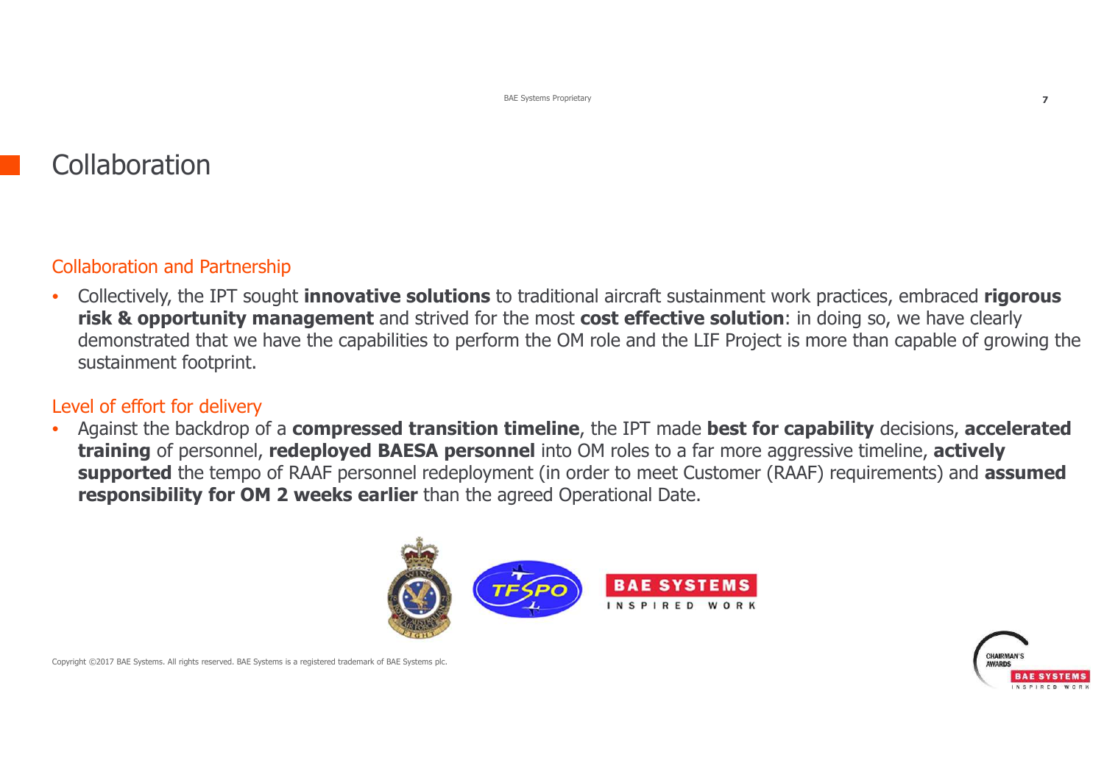# **Collaboration**

### Collaboration and Partnership

• Collectively, the IPT sought **innovative solutions** to traditional aircraft sustainment work practices, embraced **rigorous risk & opportunity management** and strived for the most **cost effective solution**: in doing so, we have clearly demonstrated that we have the capabilities to perform the OM role and the LIF Project is more than capable of growing the sustainment footprint.

#### Level of effort for delivery

 Against the backdrop of a **compressed transition timeline**, the IPT made **best for capability** decisions, **accelerated**  •**training** of personnel, **redeployed BAESA personnel** into OM roles to a far more aggressive timeline, **actively supported** the tempo of RAAF personnel redeployment (in order to meet Customer (RAAF) requirements) and **assumed responsibility for OM 2 weeks earlier** than the agreed Operational Date.



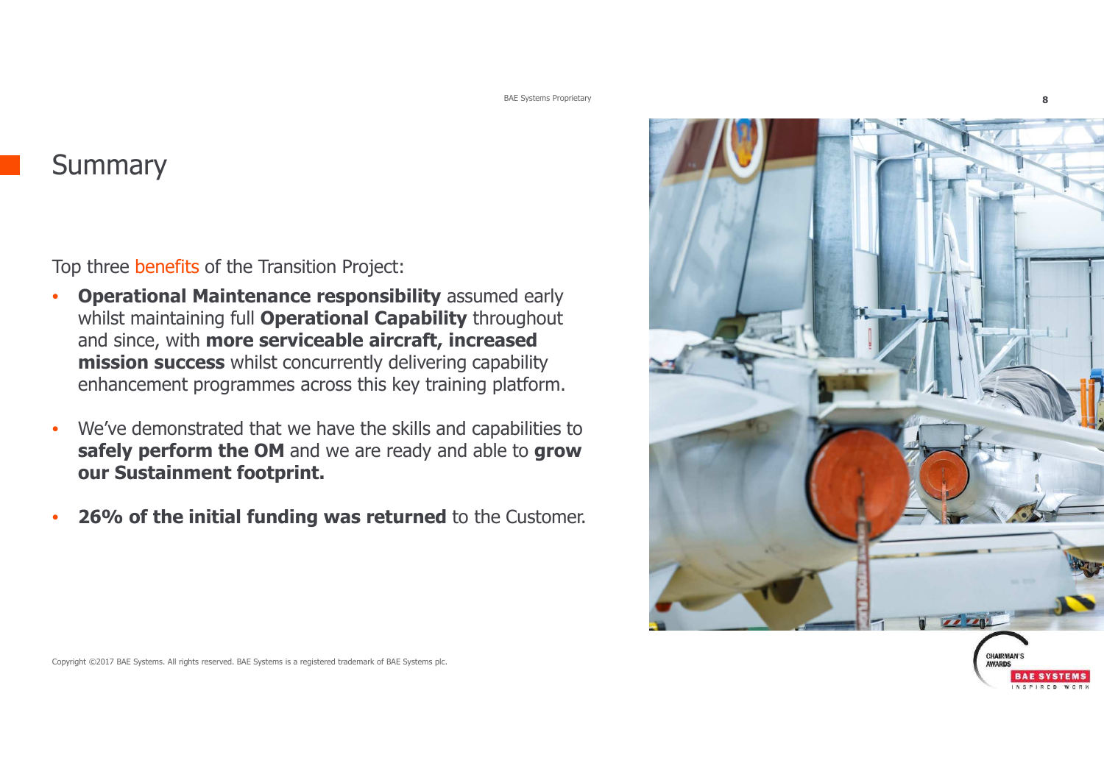BAE Systems Proprietary**8**

**Summary** 

Top three benefits of the Transition Project:

- •**Operational Maintenance responsibility** assumed early whilst maintaining full **Operational Capability** throughout and since, with **more serviceable aircraft, increased mission success** whilst concurrently delivering capability enhancement programmes across this key training platform.
- • We've demonstrated that we have the skills and capabilities to **safely perform the OM** and we are ready and able to **grow our Sustainment footprint.**
- •**26% of the initial funding was returned** to the Customer.

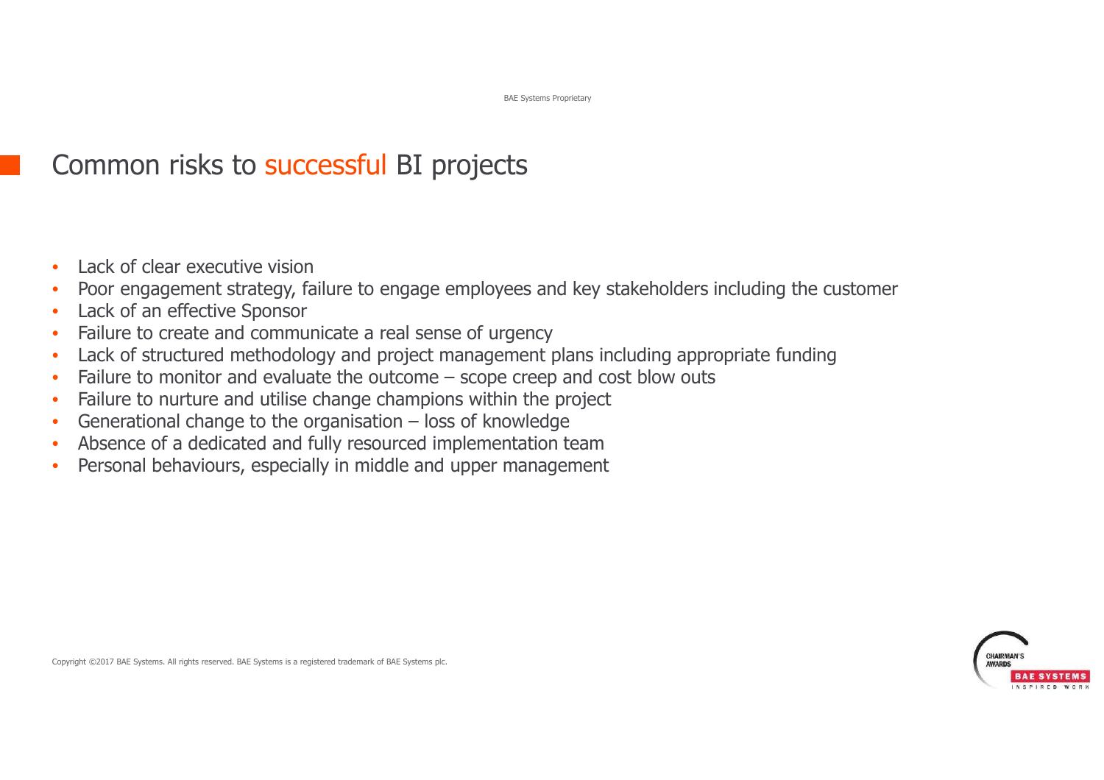# Common risks to successful BI projects

- •Lack of clear executive vision
- Poor engagement strategy, failure to engage employees and key stakeholders including the customer•
- •Lack of an effective Sponsor
- Failure to create and communicate a real sense of urgency•
- Lack of structured methodology and project management plans including appropriate funding•
- •Failure to monitor and evaluate the outcome – scope creep and cost blow outs
- •Failure to nurture and utilise change champions within the project
- •Generational change to the organisation – loss of knowledge
- •Absence of a dedicated and fully resourced implementation team
- Personal behaviours, especially in middle and upper management•